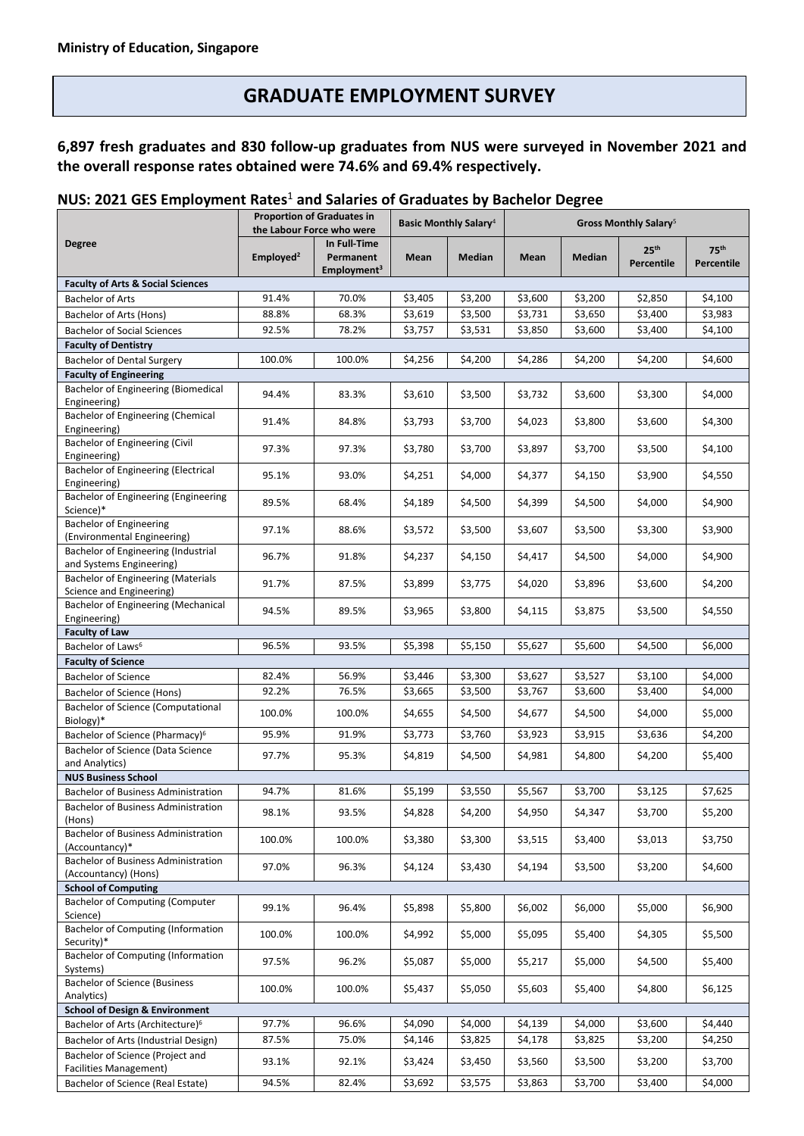# **GRADUATE EMPLOYMENT SURVEY**

## **6,897 fresh graduates and 830 follow-up graduates from NUS were surveyed in November 2021 and the overall response rates obtained were 74.6% and 69.4% respectively.**

### **NUS: 2021 GES Employment Rates** <sup>1</sup> **and Salaries of Graduates by Bachelor Degree**

|                                                                          | <b>Proportion of Graduates in</b><br>the Labour Force who were |                         | <b>Basic Monthly Salary</b> <sup>4</sup> |               | Gross Monthly Salary <sup>5</sup> |         |                  |                  |
|--------------------------------------------------------------------------|----------------------------------------------------------------|-------------------------|------------------------------------------|---------------|-----------------------------------|---------|------------------|------------------|
| <b>Degree</b>                                                            |                                                                | In Full-Time            |                                          |               |                                   |         | 25 <sup>th</sup> | 75 <sup>th</sup> |
|                                                                          | Emploved <sup>2</sup>                                          | Permanent               | Mean                                     | <b>Median</b> | Mean                              | Median  | Percentile       | Percentile       |
| <b>Faculty of Arts &amp; Social Sciences</b>                             |                                                                | Employment <sup>3</sup> |                                          |               |                                   |         |                  |                  |
| <b>Bachelor of Arts</b>                                                  | 91.4%                                                          | 70.0%                   | \$3,405                                  | \$3,200       | \$3,600                           | \$3,200 | \$2,850          | \$4,100          |
| Bachelor of Arts (Hons)                                                  | 88.8%                                                          | 68.3%                   | \$3,619                                  | \$3,500       | \$3,731                           | \$3,650 | \$3,400          | \$3,983          |
| <b>Bachelor of Social Sciences</b>                                       | 92.5%                                                          | 78.2%                   | \$3,757                                  | \$3,531       | \$3,850                           | \$3,600 | \$3,400          | \$4,100          |
| <b>Faculty of Dentistry</b>                                              |                                                                |                         |                                          |               |                                   |         |                  |                  |
| <b>Bachelor of Dental Surgery</b>                                        | 100.0%                                                         | 100.0%                  | \$4,256                                  | \$4,200       | \$4,286                           | \$4,200 | \$4,200          | \$4,600          |
| <b>Faculty of Engineering</b>                                            |                                                                |                         |                                          |               |                                   |         |                  |                  |
| Bachelor of Engineering (Biomedical                                      | 94.4%                                                          | 83.3%                   | \$3,610                                  | \$3,500       | \$3,732                           | \$3,600 | \$3,300          | \$4,000          |
| Engineering)                                                             |                                                                |                         |                                          |               |                                   |         |                  |                  |
| Bachelor of Engineering (Chemical<br>Engineering)                        | 91.4%                                                          | 84.8%                   | \$3,793                                  | \$3,700       | \$4,023                           | \$3,800 | \$3,600          | \$4,300          |
| Bachelor of Engineering (Civil                                           |                                                                |                         |                                          |               |                                   |         |                  |                  |
| Engineering)                                                             | 97.3%                                                          | 97.3%                   | \$3,780                                  | \$3,700       | \$3,897                           | \$3,700 | \$3,500          | \$4,100          |
| <b>Bachelor of Engineering (Electrical</b>                               | 95.1%                                                          | 93.0%                   | \$4,251                                  | \$4,000       | \$4,377                           | \$4,150 | \$3,900          | \$4,550          |
| Engineering)                                                             |                                                                |                         |                                          |               |                                   |         |                  |                  |
| Bachelor of Engineering (Engineering<br>Science)*                        | 89.5%                                                          | 68.4%                   | \$4,189                                  | \$4,500       | \$4,399                           | \$4,500 | \$4,000          | \$4,900          |
| Bachelor of Engineering                                                  |                                                                |                         |                                          |               |                                   |         |                  |                  |
| (Environmental Engineering)                                              | 97.1%                                                          | 88.6%                   | \$3,572                                  | \$3,500       | \$3,607                           | \$3,500 | \$3,300          | \$3,900          |
| Bachelor of Engineering (Industrial                                      | 96.7%                                                          | 91.8%                   | \$4,237                                  | \$4,150       | \$4,417                           | \$4,500 | \$4,000          | \$4,900          |
| and Systems Engineering)<br><b>Bachelor of Engineering (Materials</b>    |                                                                |                         |                                          |               |                                   |         |                  |                  |
| Science and Engineering)                                                 | 91.7%                                                          | 87.5%                   | \$3,899                                  | \$3,775       | \$4,020                           | \$3,896 | \$3,600          | \$4,200          |
| Bachelor of Engineering (Mechanical                                      | 94.5%                                                          | 89.5%                   | \$3,965                                  | \$3,800       | \$4,115                           | \$3,875 |                  | \$4,550          |
| Engineering)                                                             |                                                                |                         |                                          |               |                                   |         | \$3,500          |                  |
| <b>Faculty of Law</b>                                                    |                                                                |                         |                                          |               |                                   |         |                  |                  |
| Bachelor of Laws <sup>6</sup>                                            | 96.5%                                                          | 93.5%                   | \$5,398                                  | \$5,150       | \$5,627                           | \$5,600 | \$4,500          | \$6,000          |
| <b>Faculty of Science</b>                                                | 82.4%                                                          | 56.9%                   | \$3,446                                  | \$3,300       | \$3,627                           | \$3,527 | \$3,100          | \$4,000          |
| <b>Bachelor of Science</b>                                               | 92.2%                                                          | 76.5%                   | \$3,665                                  | \$3,500       | \$3,767                           | \$3,600 | \$3,400          | \$4,000          |
| Bachelor of Science (Hons)<br><b>Bachelor of Science (Computational</b>  |                                                                |                         |                                          |               |                                   |         |                  |                  |
| Biology)*                                                                | 100.0%                                                         | 100.0%                  | \$4,655                                  | \$4,500       | \$4,677                           | \$4,500 | \$4,000          | \$5,000          |
| Bachelor of Science (Pharmacy) <sup>6</sup>                              | 95.9%                                                          | 91.9%                   | \$3,773                                  | \$3,760       | \$3,923                           | \$3,915 | \$3,636          | \$4,200          |
| Bachelor of Science (Data Science                                        | 97.7%                                                          | 95.3%                   | \$4,819                                  | \$4,500       | \$4,981                           | \$4,800 | \$4,200          | \$5,400          |
| and Analytics)                                                           |                                                                |                         |                                          |               |                                   |         |                  |                  |
| <b>NUS Business School</b><br><b>Bachelor of Business Administration</b> | 94.7%                                                          | 81.6%                   | \$5,199                                  | \$3,550       | \$5,567                           | \$3,700 | \$3,125          | \$7,625          |
| Bachelor of Business Administration                                      |                                                                |                         |                                          |               |                                   |         |                  |                  |
| (Hons)                                                                   | 98.1%                                                          | 93.5%                   | \$4,828                                  | \$4,200       | \$4,950                           | \$4,347 | \$3,700          | \$5,200          |
| <b>Bachelor of Business Administration</b>                               | 100.0%                                                         | 100.0%                  | \$3,380                                  | \$3,300       | \$3,515                           | \$3,400 | \$3,013          | \$3,750          |
| (Accountancy)*                                                           |                                                                |                         |                                          |               |                                   |         |                  |                  |
| <b>Bachelor of Business Administration</b>                               | 97.0%                                                          | 96.3%                   | \$4,124                                  | \$3,430       | \$4,194                           | \$3,500 | \$3,200          | \$4,600          |
| (Accountancy) (Hons)<br><b>School of Computing</b>                       |                                                                |                         |                                          |               |                                   |         |                  |                  |
| <b>Bachelor of Computing (Computer</b>                                   |                                                                |                         |                                          |               |                                   |         |                  |                  |
| Science)                                                                 | 99.1%                                                          | 96.4%                   | \$5,898                                  | \$5,800       | \$6,002                           | \$6,000 | \$5,000          | \$6,900          |
| <b>Bachelor of Computing (Information</b>                                | 100.0%                                                         | 100.0%                  | \$4,992                                  | \$5,000       | \$5,095                           | \$5,400 | \$4,305          | \$5,500          |
| Security)*<br><b>Bachelor of Computing (Information</b>                  |                                                                |                         |                                          |               |                                   |         |                  |                  |
| Systems)                                                                 | 97.5%                                                          | 96.2%                   | \$5,087                                  | \$5,000       | \$5,217                           | \$5,000 | \$4,500          | \$5,400          |
| <b>Bachelor of Science (Business</b>                                     | 100.0%                                                         | 100.0%                  | \$5,437                                  | \$5,050       | \$5,603                           | \$5,400 | \$4,800          | \$6,125          |
| Analytics)<br><b>School of Design &amp; Environment</b>                  |                                                                |                         |                                          |               |                                   |         |                  |                  |
| Bachelor of Arts (Architecture) <sup>6</sup>                             | 97.7%                                                          | 96.6%                   | \$4,090                                  | \$4,000       | \$4,139                           | \$4,000 | \$3,600          | \$4,440          |
| Bachelor of Arts (Industrial Design)                                     | 87.5%                                                          | 75.0%                   | \$4,146                                  | \$3,825       | \$4,178                           | \$3,825 | \$3,200          | \$4,250          |
| Bachelor of Science (Project and                                         | 93.1%                                                          | 92.1%                   | \$3,424                                  | \$3,450       | \$3,560                           | \$3,500 | \$3,200          | \$3,700          |
| <b>Facilities Management)</b>                                            |                                                                |                         |                                          |               |                                   |         |                  |                  |
| Bachelor of Science (Real Estate)                                        | 94.5%                                                          | 82.4%                   | \$3,692                                  | \$3,575       | \$3,863                           | \$3,700 | \$3,400          | \$4,000          |